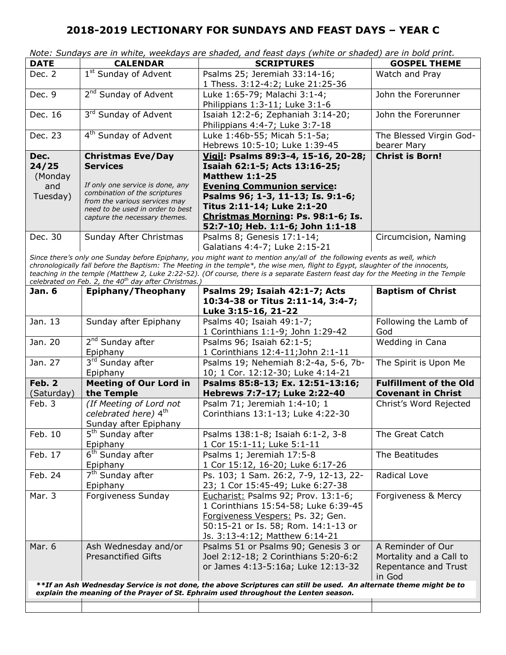|                                                                                                                                                                                                                                                                                                                                                                                                                                                                     |                                                                                                                                                                         | Note: Sundays are in white, weekdays are shaded, and feast days (white or shaded) are in bold print.                                                                                      |                                                                                |  |
|---------------------------------------------------------------------------------------------------------------------------------------------------------------------------------------------------------------------------------------------------------------------------------------------------------------------------------------------------------------------------------------------------------------------------------------------------------------------|-------------------------------------------------------------------------------------------------------------------------------------------------------------------------|-------------------------------------------------------------------------------------------------------------------------------------------------------------------------------------------|--------------------------------------------------------------------------------|--|
| <b>DATE</b>                                                                                                                                                                                                                                                                                                                                                                                                                                                         | <b>CALENDAR</b>                                                                                                                                                         | <b>SCRIPTURES</b>                                                                                                                                                                         | <b>GOSPEL THEME</b>                                                            |  |
| Dec. 2                                                                                                                                                                                                                                                                                                                                                                                                                                                              | 1 <sup>st</sup> Sunday of Advent                                                                                                                                        | Psalms 25; Jeremiah 33:14-16;<br>1 Thess. 3:12-4:2; Luke 21:25-36                                                                                                                         | Watch and Pray                                                                 |  |
| Dec. 9                                                                                                                                                                                                                                                                                                                                                                                                                                                              | 2 <sup>nd</sup> Sunday of Advent                                                                                                                                        | Luke 1:65-79; Malachi 3:1-4;<br>Philippians 1:3-11; Luke 3:1-6                                                                                                                            | John the Forerunner                                                            |  |
| Dec. 16                                                                                                                                                                                                                                                                                                                                                                                                                                                             | 3rd Sunday of Advent                                                                                                                                                    | Isaiah 12:2-6; Zephaniah 3:14-20;<br>Philippians 4:4-7; Luke 3:7-18                                                                                                                       | John the Forerunner                                                            |  |
| Dec. 23                                                                                                                                                                                                                                                                                                                                                                                                                                                             | 4 <sup>th</sup> Sunday of Advent                                                                                                                                        | Luke 1:46b-55; Micah 5:1-5a;<br>Hebrews 10:5-10; Luke 1:39-45                                                                                                                             | The Blessed Virgin God-<br>bearer Mary                                         |  |
| Dec.                                                                                                                                                                                                                                                                                                                                                                                                                                                                | <b>Christmas Eve/Day</b>                                                                                                                                                | Vigil: Psalms 89:3-4, 15-16, 20-28;                                                                                                                                                       | <b>Christ is Born!</b>                                                         |  |
| 24/25<br>(Monday                                                                                                                                                                                                                                                                                                                                                                                                                                                    | <b>Services</b>                                                                                                                                                         | Isaiah 62:1-5; Acts 13:16-25;<br><b>Matthew 1:1-25</b>                                                                                                                                    |                                                                                |  |
| and<br>Tuesday)                                                                                                                                                                                                                                                                                                                                                                                                                                                     | If only one service is done, any<br>combination of the scriptures<br>from the various services may<br>need to be used in order to best<br>capture the necessary themes. | <b>Evening Communion service:</b><br>Psalms 96; 1-3, 11-13; Is. 9:1-6;<br>Titus 2:11-14; Luke 2:1-20<br>Christmas Morning: Ps. 98:1-6; Is.<br>52:7-10; Heb. 1:1-6; John 1:1-18            |                                                                                |  |
| Dec. 30                                                                                                                                                                                                                                                                                                                                                                                                                                                             | Sunday After Christmas                                                                                                                                                  | Psalms 8; Genesis 17:1-14;<br>Galatians 4:4-7; Luke 2:15-21                                                                                                                               | Circumcision, Naming                                                           |  |
| Since there's only one Sunday before Epiphany, you might want to mention any/all of the following events as well, which<br>chronologically fall before the Baptism: The Meeting in the temple*, the wise men, flight to Egypt, slaughter of the innocents,<br>teaching in the temple (Matthew 2, Luke 2:22-52). (Of course, there is a separate Eastern feast day for the Meeting in the Temple<br>celebrated on Feb. 2, the 40 <sup>th</sup> day after Christmas.) |                                                                                                                                                                         |                                                                                                                                                                                           |                                                                                |  |
| <b>Jan. 6</b>                                                                                                                                                                                                                                                                                                                                                                                                                                                       | Epiphany/Theophany                                                                                                                                                      | Psalms 29; Isaiah 42:1-7; Acts                                                                                                                                                            | <b>Baptism of Christ</b>                                                       |  |
|                                                                                                                                                                                                                                                                                                                                                                                                                                                                     |                                                                                                                                                                         | 10:34-38 or Titus 2:11-14, 3:4-7;<br>Luke 3:15-16, 21-22                                                                                                                                  |                                                                                |  |
| Jan. 13                                                                                                                                                                                                                                                                                                                                                                                                                                                             | Sunday after Epiphany                                                                                                                                                   | Psalms 40; Isaiah 49:1-7;<br>1 Corinthians 1:1-9; John 1:29-42                                                                                                                            | Following the Lamb of<br>God                                                   |  |
| Jan. 20                                                                                                                                                                                                                                                                                                                                                                                                                                                             | 2 <sup>nd</sup> Sunday after<br>Epiphany                                                                                                                                | Psalms 96; Isaiah 62:1-5;<br>1 Corinthians 12:4-11; John 2:1-11                                                                                                                           | Wedding in Cana                                                                |  |
| Jan. 27                                                                                                                                                                                                                                                                                                                                                                                                                                                             | 3rd Sunday after<br>Epiphany                                                                                                                                            | Psalms 19; Nehemiah 8:2-4a, 5-6, 7b-<br>10; 1 Cor. 12:12-30; Luke 4:14-21                                                                                                                 | The Spirit is Upon Me                                                          |  |
| Feb. 2                                                                                                                                                                                                                                                                                                                                                                                                                                                              | <b>Meeting of Our Lord in</b>                                                                                                                                           | Psalms 85:8-13; Ex. 12:51-13:16;                                                                                                                                                          | <b>Fulfillment of the Old</b>                                                  |  |
| (Saturday)                                                                                                                                                                                                                                                                                                                                                                                                                                                          | the Temple                                                                                                                                                              | Hebrews 7:7-17; Luke 2:22-40                                                                                                                                                              | <b>Covenant in Christ</b>                                                      |  |
| Feb. 3                                                                                                                                                                                                                                                                                                                                                                                                                                                              | (If Meeting of Lord not<br>celebrated here) 4th<br>Sunday after Epiphany                                                                                                | Psalm 71; Jeremiah 1:4-10; 1<br>Corinthians 13:1-13; Luke 4:22-30                                                                                                                         | Christ's Word Rejected                                                         |  |
| Feb. 10                                                                                                                                                                                                                                                                                                                                                                                                                                                             | 5 <sup>th</sup> Sunday after<br>Epiphany                                                                                                                                | Psalms 138:1-8; Isaiah 6:1-2, 3-8<br>1 Cor 15:1-11; Luke 5:1-11                                                                                                                           | The Great Catch                                                                |  |
| Feb. 17                                                                                                                                                                                                                                                                                                                                                                                                                                                             | 6 <sup>th</sup> Sunday after<br>Epiphany                                                                                                                                | Psalms 1; Jeremiah 17:5-8<br>1 Cor 15:12, 16-20; Luke 6:17-26                                                                                                                             | The Beatitudes                                                                 |  |
| Feb. 24                                                                                                                                                                                                                                                                                                                                                                                                                                                             | 7 <sup>th</sup> Sunday after<br>Epiphany                                                                                                                                | Ps. 103; 1 Sam. 26:2, 7-9, 12-13, 22-<br>23; 1 Cor 15:45-49; Luke 6:27-38                                                                                                                 | Radical Love                                                                   |  |
| Mar. 3                                                                                                                                                                                                                                                                                                                                                                                                                                                              | Forgiveness Sunday                                                                                                                                                      | Eucharist: Psalms 92; Prov. 13:1-6;<br>1 Corinthians 15:54-58; Luke 6:39-45<br>Forgiveness Vespers: Ps. 32; Gen.<br>50:15-21 or Is. 58; Rom. 14:1-13 or<br>Js. 3:13-4:12; Matthew 6:14-21 | Forgiveness & Mercy                                                            |  |
| Mar. 6                                                                                                                                                                                                                                                                                                                                                                                                                                                              | Ash Wednesday and/or<br><b>Presanctified Gifts</b>                                                                                                                      | Psalms 51 or Psalms 90; Genesis 3 or<br>Joel 2:12-18; 2 Corinthians 5:20-6:2<br>or James 4:13-5:16a; Luke 12:13-32                                                                        | A Reminder of Our<br>Mortality and a Call to<br>Repentance and Trust<br>in God |  |
| **If an Ash Wednesday Service is not done, the above Scriptures can still be used. An alternate theme might be to<br>explain the meaning of the Prayer of St. Ephraim used throughout the Lenten season.                                                                                                                                                                                                                                                            |                                                                                                                                                                         |                                                                                                                                                                                           |                                                                                |  |
|                                                                                                                                                                                                                                                                                                                                                                                                                                                                     |                                                                                                                                                                         |                                                                                                                                                                                           |                                                                                |  |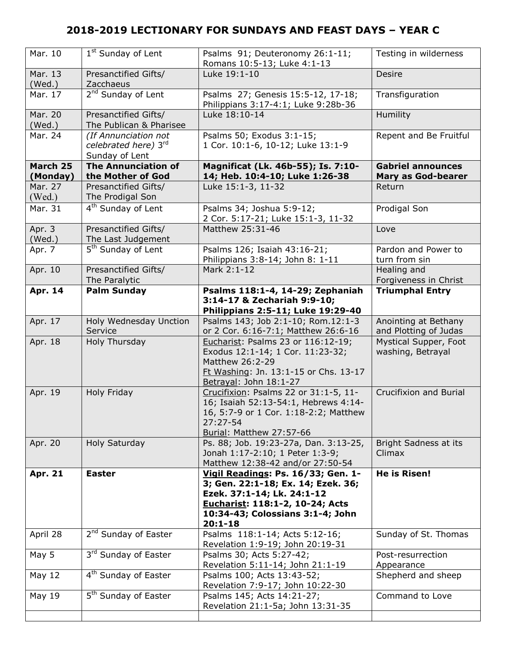| Mar. 10              | 1 <sup>st</sup> Sunday of Lent                                 | Psalms 91; Deuteronomy 26:1-11;<br>Romans 10:5-13; Luke 4:1-13                                                                                                                               | Testing in wilderness                                 |
|----------------------|----------------------------------------------------------------|----------------------------------------------------------------------------------------------------------------------------------------------------------------------------------------------|-------------------------------------------------------|
| Mar. 13<br>(Wed.)    | Presanctified Gifts/<br>Zacchaeus                              | Luke 19:1-10                                                                                                                                                                                 | <b>Desire</b>                                         |
| Mar. 17              | 2 <sup>nd</sup> Sunday of Lent                                 | Psalms 27; Genesis 15:5-12, 17-18;<br>Philippians 3:17-4:1; Luke 9:28b-36                                                                                                                    | Transfiguration                                       |
| Mar. 20<br>(Wed.)    | Presanctified Gifts/<br>The Publican & Pharisee                | Luke 18:10-14                                                                                                                                                                                | <b>Humility</b>                                       |
| Mar. 24              | (If Annunciation not<br>celebrated here) 3rd<br>Sunday of Lent | Psalms 50; Exodus 3:1-15;<br>1 Cor. 10:1-6, 10-12; Luke 13:1-9                                                                                                                               | Repent and Be Fruitful                                |
| March 25<br>(Monday) | <b>The Annunciation of</b><br>the Mother of God                | Magnificat (Lk. 46b-55); Is. 7:10-<br>14; Heb. 10:4-10; Luke 1:26-38                                                                                                                         | <b>Gabriel announces</b><br><b>Mary as God-bearer</b> |
| Mar. 27<br>(Wed.)    | Presanctified Gifts/<br>The Prodigal Son                       | Luke 15:1-3, 11-32                                                                                                                                                                           | Return                                                |
| Mar. 31              | 4 <sup>th</sup> Sunday of Lent                                 | Psalms 34; Joshua 5:9-12;<br>2 Cor. 5:17-21; Luke 15:1-3, 11-32                                                                                                                              | Prodigal Son                                          |
| Apr. 3<br>(Wed.)     | Presanctified Gifts/<br>The Last Judgement                     | Matthew 25:31-46                                                                                                                                                                             | Love                                                  |
| Apr. 7               | 5 <sup>th</sup> Sunday of Lent                                 | Psalms 126; Isaiah 43:16-21;<br>Philippians 3:8-14; John 8: 1-11                                                                                                                             | Pardon and Power to<br>turn from sin                  |
| Apr. 10              | Presanctified Gifts/<br>The Paralytic                          | Mark 2:1-12                                                                                                                                                                                  | Healing and<br>Forgiveness in Christ                  |
| Apr. 14              | <b>Palm Sunday</b>                                             | Psalms 118:1-4, 14-29; Zephaniah<br>3:14-17 & Zechariah 9:9-10;<br>Philippians 2:5-11; Luke 19:29-40                                                                                         | <b>Triumphal Entry</b>                                |
| Apr. 17              | Holy Wednesday Unction<br>Service                              | Psalms 143; Job 2:1-10; Rom.12:1-3<br>or 2 Cor. 6:16-7:1; Matthew 26:6-16                                                                                                                    | Anointing at Bethany<br>and Plotting of Judas         |
| Apr. 18              | Holy Thursday                                                  | Eucharist: Psalms 23 or 116:12-19;<br>Exodus 12:1-14; 1 Cor. 11:23-32;<br>Matthew 26:2-29<br>Ft Washing: Jn. 13:1-15 or Chs. 13-17<br>Betrayal: John 18:1-27                                 | Mystical Supper, Foot<br>washing, Betrayal            |
| Apr. 19              | Holy Friday                                                    | Crucifixion: Psalms 22 or 31:1-5, 11-<br>16; Isaiah 52:13-54:1, Hebrews 4:14-<br>16, 5:7-9 or 1 Cor. 1:18-2:2; Matthew<br>27:27-54<br><b>Burial: Matthew 27:57-66</b>                        | Crucifixion and Burial                                |
| Apr. 20              | Holy Saturday                                                  | Ps. 88; Job. 19:23-27a, Dan. 3:13-25,<br>Jonah 1:17-2:10; 1 Peter 1:3-9;<br>Matthew 12:38-42 and/or 27:50-54                                                                                 | Bright Sadness at its<br>Climax                       |
| <b>Apr. 21</b>       | <b>Easter</b>                                                  | Vigil Readings: Ps. 16/33; Gen. 1-<br>3; Gen. 22:1-18; Ex. 14; Ezek. 36;<br>Ezek. 37:1-14; Lk. 24:1-12<br>Eucharist: 118:1-2, 10-24; Acts<br>10:34-43; Colossians 3:1-4; John<br>$20:1 - 18$ | <b>He is Risen!</b>                                   |
| April 28             | 2 <sup>nd</sup> Sunday of Easter                               | Psalms 118:1-14; Acts 5:12-16;<br>Revelation 1:9-19; John 20:19-31                                                                                                                           | Sunday of St. Thomas                                  |
| May 5                | 3rd Sunday of Easter                                           | Psalms 30; Acts 5:27-42;<br>Revelation 5:11-14; John 21:1-19                                                                                                                                 | Post-resurrection<br>Appearance                       |
| May 12               | 4 <sup>th</sup> Sunday of Easter                               | Psalms 100; Acts 13:43-52;                                                                                                                                                                   | Shepherd and sheep                                    |
|                      |                                                                | Revelation 7:9-17; John 10:22-30                                                                                                                                                             |                                                       |
| May 19               | 5 <sup>th</sup> Sunday of Easter                               | Psalms 145; Acts 14:21-27;<br>Revelation 21:1-5a; John 13:31-35                                                                                                                              | Command to Love                                       |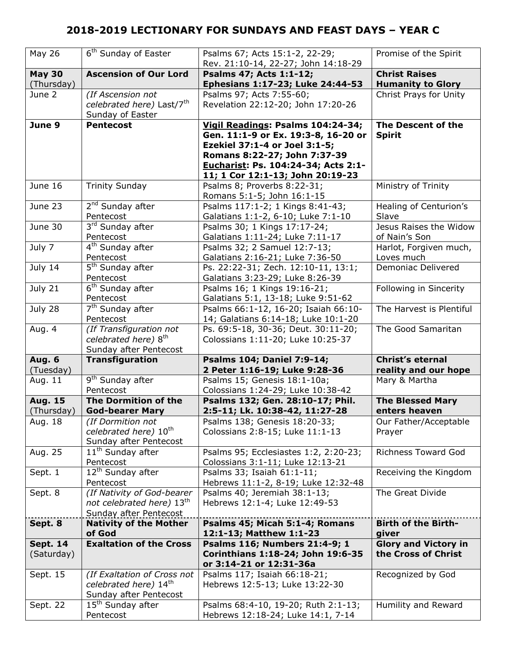| May 26                        | 6 <sup>th</sup> Sunday of Easter                       | Psalms 67; Acts 15:1-2, 22-29;<br>Rev. 21:10-14, 22-27; John 14:18-29                                                                                                                                                | Promise of the Spirit                              |
|-------------------------------|--------------------------------------------------------|----------------------------------------------------------------------------------------------------------------------------------------------------------------------------------------------------------------------|----------------------------------------------------|
| <b>May 30</b><br>(Thursday)   | <b>Ascension of Our Lord</b>                           | Psalms 47; Acts 1:1-12;<br>Ephesians 1:17-23; Luke 24:44-53                                                                                                                                                          | <b>Christ Raises</b><br><b>Humanity to Glory</b>   |
| June 2                        | (If Ascension not                                      | Psalms 97; Acts 7:55-60;                                                                                                                                                                                             | Christ Prays for Unity                             |
|                               | celebrated here) Last/7 <sup>th</sup>                  | Revelation 22:12-20; John 17:20-26                                                                                                                                                                                   |                                                    |
|                               | Sunday of Easter                                       |                                                                                                                                                                                                                      |                                                    |
| June 9                        | <b>Pentecost</b>                                       | Vigil Readings: Psalms 104:24-34;<br>Gen. 11:1-9 or Ex. 19:3-8, 16-20 or<br>Ezekiel 37:1-4 or Joel 3:1-5;<br>Romans 8:22-27; John 7:37-39<br>Eucharist: Ps. 104:24-34; Acts 2:1-<br>11; 1 Cor 12:1-13; John 20:19-23 | The Descent of the<br><b>Spirit</b>                |
| June 16                       | <b>Trinity Sunday</b>                                  | Psalms 8; Proverbs 8:22-31;<br>Romans 5:1-5; John 16:1-15                                                                                                                                                            | Ministry of Trinity                                |
| June 23                       | 2 <sup>nd</sup> Sunday after                           | Psalms 117:1-2; 1 Kings 8:41-43;                                                                                                                                                                                     | Healing of Centurion's                             |
|                               | Pentecost                                              | Galatians 1:1-2, 6-10; Luke 7:1-10                                                                                                                                                                                   | Slave                                              |
| June 30                       | $3rd$ Sunday after                                     | Psalms 30; 1 Kings 17:17-24;                                                                                                                                                                                         | Jesus Raises the Widow                             |
|                               | Pentecost                                              | Galatians 1:11-24; Luke 7:11-17                                                                                                                                                                                      | of Nain's Son                                      |
| July 7                        | $\overline{4^{th}}$ Sunday after                       | Psalms 32; 2 Samuel 12:7-13;                                                                                                                                                                                         | Harlot, Forgiven much,                             |
|                               | Pentecost                                              | Galatians 2:16-21; Luke 7:36-50                                                                                                                                                                                      | Loves much                                         |
| July 14                       | 5 <sup>th</sup> Sunday after<br>Pentecost              | Ps. 22:22-31; Zech. 12:10-11, 13:1;<br>Galatians 3:23-29; Luke 8:26-39                                                                                                                                               | Demoniac Delivered                                 |
| July 21                       | 6 <sup>th</sup> Sunday after                           | Psalms 16; 1 Kings 19:16-21;                                                                                                                                                                                         | Following in Sincerity                             |
|                               | Pentecost                                              | Galatians 5:1, 13-18; Luke 9:51-62                                                                                                                                                                                   |                                                    |
| July 28                       | 7 <sup>th</sup> Sunday after                           | Psalms 66:1-12, 16-20; Isaiah 66:10-                                                                                                                                                                                 | The Harvest is Plentiful                           |
|                               | Pentecost                                              | 14; Galatians 6:14-18; Luke 10:1-20                                                                                                                                                                                  |                                                    |
| Aug. 4                        | (If Transfiguration not                                | Ps. 69:5-18, 30-36; Deut. 30:11-20;                                                                                                                                                                                  | The Good Samaritan                                 |
|                               |                                                        |                                                                                                                                                                                                                      |                                                    |
|                               | celebrated here) 8 <sup>th</sup>                       | Colossians 1:11-20; Luke 10:25-37                                                                                                                                                                                    |                                                    |
|                               | Sunday after Pentecost                                 |                                                                                                                                                                                                                      |                                                    |
| <b>Aug. 6</b>                 | Transfiguration                                        | <b>Psalms 104; Daniel 7:9-14;</b>                                                                                                                                                                                    | <b>Christ's eternal</b>                            |
| (Tuesday)                     |                                                        | 2 Peter 1:16-19; Luke 9:28-36                                                                                                                                                                                        | reality and our hope                               |
| Aug. 11                       | 9 <sup>th</sup> Sunday after                           | Psalms 15; Genesis 18:1-10a;                                                                                                                                                                                         | Mary & Martha                                      |
|                               | Pentecost                                              | Colossians 1:24-29; Luke 10:38-42                                                                                                                                                                                    |                                                    |
| <b>Aug. 15</b>                | The Dormition of the                                   | Psalms 132; Gen. 28:10-17; Phil.                                                                                                                                                                                     | <b>The Blessed Mary</b>                            |
| (Thursday)                    | <b>God-bearer Mary</b>                                 | 2:5-11; Lk. 10:38-42, 11:27-28                                                                                                                                                                                       | enters heaven                                      |
| Aug. 18                       | (If Dormition not<br>celebrated here) 10 <sup>th</sup> | Psalms 138; Genesis 18:20-33;<br>Colossians 2:8-15; Luke 11:1-13                                                                                                                                                     | Our Father/Acceptable<br>Prayer                    |
|                               | Sunday after Pentecost                                 |                                                                                                                                                                                                                      |                                                    |
| Aug. 25                       | $11th$ Sunday after<br>Pentecost                       | Psalms 95; Ecclesiastes 1:2, 2:20-23;<br>Colossians 3:1-11; Luke 12:13-21                                                                                                                                            | <b>Richness Toward God</b>                         |
| Sept. 1                       | 12 <sup>th</sup> Sunday after                          | Psalms 33; Isaiah 61:1-11;                                                                                                                                                                                           | Receiving the Kingdom                              |
|                               | Pentecost                                              | Hebrews 11:1-2, 8-19; Luke 12:32-48                                                                                                                                                                                  |                                                    |
| Sept. 8                       | (If Nativity of God-bearer                             | Psalms 40; Jeremiah 38:1-13;                                                                                                                                                                                         | The Great Divide                                   |
|                               | not celebrated here) 13th                              | Hebrews 12:1-4; Luke 12:49-53                                                                                                                                                                                        |                                                    |
|                               | Sunday after Pentecost                                 |                                                                                                                                                                                                                      |                                                    |
| Sept. 8                       | <b>Nativity of the Mother</b>                          | Psalms 45; Micah 5:1-4; Romans                                                                                                                                                                                       | <b>Birth of the Birth-</b>                         |
|                               | of God                                                 | 12:1-13; Matthew 1:1-23                                                                                                                                                                                              | giver                                              |
| <b>Sept. 14</b><br>(Saturday) | <b>Exaltation of the Cross</b>                         | Psalms 116; Numbers 21:4-9; 1<br>Corinthians 1:18-24; John 19:6-35<br>or 3:14-21 or 12:31-36a                                                                                                                        | <b>Glory and Victory in</b><br>the Cross of Christ |
| Sept. 15                      | (If Exaltation of Cross not                            | Psalms 117; Isaiah 66:18-21;                                                                                                                                                                                         | Recognized by God                                  |
|                               | celebrated here) 14th                                  | Hebrews 12:5-13; Luke 13:22-30                                                                                                                                                                                       |                                                    |
|                               | Sunday after Pentecost                                 |                                                                                                                                                                                                                      |                                                    |
| Sept. 22                      | 15 <sup>th</sup> Sunday after<br>Pentecost             | Psalms 68:4-10, 19-20; Ruth 2:1-13;<br>Hebrews 12:18-24; Luke 14:1, 7-14                                                                                                                                             | Humility and Reward                                |